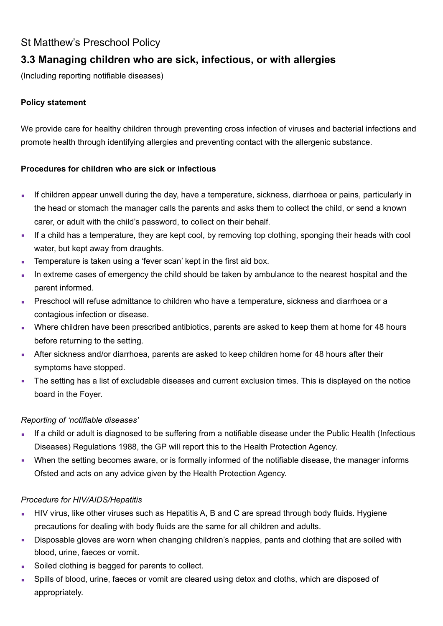# St Matthew's Preschool Policy

# **3.3 Managing children who are sick, infectious, or with allergies**

(Including reporting notifiable diseases)

### **Policy statement**

We provide care for healthy children through preventing cross infection of viruses and bacterial infections and promote health through identifying allergies and preventing contact with the allergenic substance.

#### **Procedures for children who are sick or infectious**

- **EXEDED** If children appear unwell during the day, have a temperature, sickness, diarrhoea or pains, particularly in the head or stomach the manager calls the parents and asks them to collect the child, or send a known carer, or adult with the child's password, to collect on their behalf.
- If a child has a temperature, they are kept cool, by removing top clothing, sponging their heads with cool water, but kept away from draughts.
- Temperature is taken using a 'fever scan' kept in the first aid box.
- In extreme cases of emergency the child should be taken by ambulance to the nearest hospital and the parent informed.
- **EXECT** Preschool will refuse admittance to children who have a temperature, sickness and diarrhoea or a contagious infection or disease.
- **•** Where children have been prescribed antibiotics, parents are asked to keep them at home for 48 hours before returning to the setting.
- After sickness and/or diarrhoea, parents are asked to keep children home for 48 hours after their symptoms have stopped.
- **•** The setting has a list of excludable diseases and current exclusion times. This is displayed on the notice board in the Foyer.

### *Reporting of 'notifiable diseases'*

- If a child or adult is diagnosed to be suffering from a notifiable disease under the Public Health (Infectious Diseases) Regulations 1988, the GP will report this to the Health Protection Agency.
- When the setting becomes aware, or is formally informed of the notifiable disease, the manager informs Ofsted and acts on any advice given by the Health Protection Agency.

### *Procedure for HIV/AIDS/Hepatitis*

- **EXTEND VIRTS, like other viruses such as Hepatitis A, B and C are spread through body fluids. Hygiene** precautions for dealing with body fluids are the same for all children and adults.
- **EXED** Disposable gloves are worn when changing children's nappies, pants and clothing that are soiled with blood, urine, faeces or vomit.
- Soiled clothing is bagged for parents to collect.
- Spills of blood, urine, faeces or vomit are cleared using detox and cloths, which are disposed of appropriately.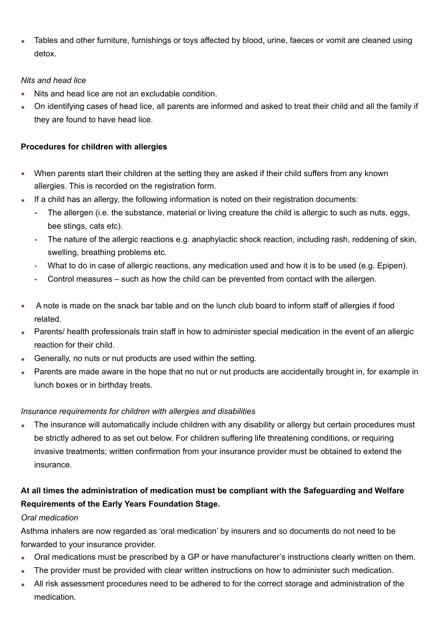Tables and other furniture, furnishings or toys affected by blood, urine, faeces or vomit are cleaned using detox.

#### *Nits and head lice*

- Nits and head lice are not an excludable condition.
- On identifying cases of head lice, all parents are informed and asked to treat their child and all the family if they are found to have head lice.

### **Procedures for children with allergies**

- **•** When parents start their children at the setting they are asked if their child suffers from any known allergies. This is recorded on the registration form.
- If a child has an allergy, the following information is noted on their registration documents:
	- **-** The allergen (i.e. the substance, material or living creature the child is allergic to such as nuts, eggs, bee stings, cats etc).
	- **-** The nature of the allergic reactions e.g. anaphylactic shock reaction, including rash, reddening of skin, swelling, breathing problems etc.
	- **-** What to do in case of allergic reactions, any medication used and how it is to be used (e.g. Epipen).
	- **-** Control measures such as how the child can be prevented from contact with the allergen.
- A note is made on the snack bar table and on the lunch club board to inform staff of allergies if food related.
- Parents/ health professionals train staff in how to administer special medication in the event of an allergic reaction for their child.
- Generally, no nuts or nut products are used within the setting.
- Parents are made aware in the hope that no nut or nut products are accidentally brought in, for example in lunch boxes or in birthday treats.

## *Insurance requirements for children with allergies and disabilities*

The insurance will automatically include children with any disability or allergy but certain procedures must be strictly adhered to as set out below. For children suffering life threatening conditions, or requiring invasive treatments; written confirmation from your insurance provider must be obtained to extend the insurance.

# **At all times the administration of medication must be compliant with the Safeguarding and Welfare Requirements of the Early Years Foundation Stage.**

## *Oral medication*

Asthma inhalers are now regarded as 'oral medication' by insurers and so documents do not need to be forwarded to your insurance provider.

- Oral medications must be prescribed by a GP or have manufacturer's instructions clearly written on them.
- The provider must be provided with clear written instructions on how to administer such medication.
- All risk assessment procedures need to be adhered to for the correct storage and administration of the medication.